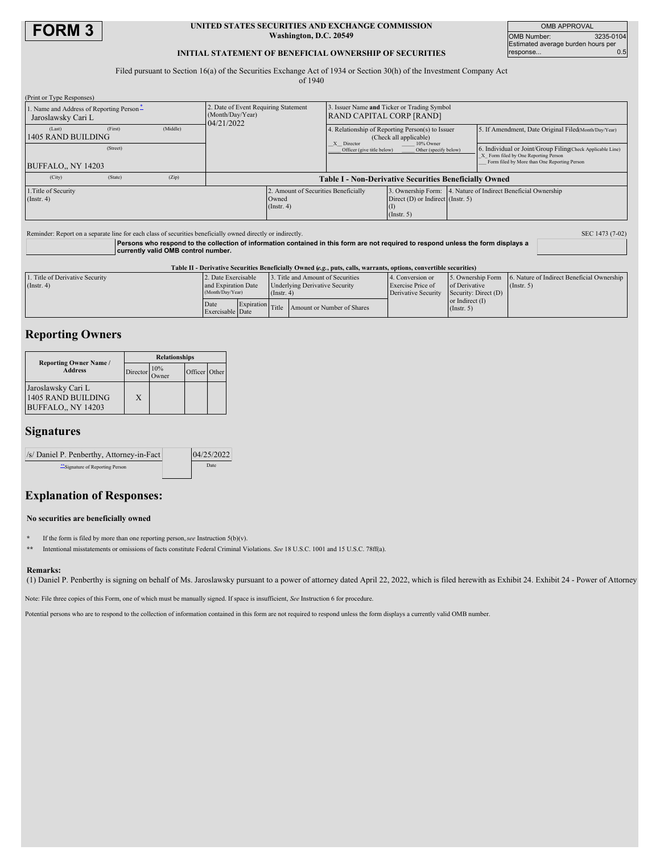

#### **UNITED STATES SECURITIES AND EXCHANGE COMMISSION Washington, D.C. 20549**

OMB APPROVAL OMB Number: 3235-0104 Estimated average burden hours per response... 0.5

## **INITIAL STATEMENT OF BENEFICIAL OWNERSHIP OF SECURITIES**

Filed pursuant to Section 16(a) of the Securities Exchange Act of 1934 or Section 30(h) of the Investment Company Act

of 1940

| (Print or Type Responses)                                     |         |          |                                                                       |                                                                                |                                                                                |                                                    |                                                                                                                                                    |                                                      |  |
|---------------------------------------------------------------|---------|----------|-----------------------------------------------------------------------|--------------------------------------------------------------------------------|--------------------------------------------------------------------------------|----------------------------------------------------|----------------------------------------------------------------------------------------------------------------------------------------------------|------------------------------------------------------|--|
| . Name and Address of Reporting Person-<br>Jaroslawsky Cari L |         |          | . Date of Event Requiring Statement<br>(Month/Day/Year)<br>04/21/2022 |                                                                                | 3. Issuer Name and Ticker or Trading Symbol<br><b>RAND CAPITAL CORP [RAND]</b> |                                                    |                                                                                                                                                    |                                                      |  |
| (Last)<br>1405 RAND BUILDING                                  | (First) | (Middle) |                                                                       |                                                                                | 4. Relationship of Reporting Person(s) to Issuer<br>(Check all applicable)     |                                                    |                                                                                                                                                    | 5. If Amendment, Date Original Filed Month/Day/Year) |  |
| (Street)<br>BUFFALO., NY 14203                                |         |          |                                                                       | X Director<br>10% Owner<br>Officer (give title below)<br>Other (specify below) |                                                                                |                                                    | 6. Individual or Joint/Group Filing(Check Applicable Line)<br>X Form filed by One Reporting Person<br>Form filed by More than One Reporting Person |                                                      |  |
| (City)                                                        | (State) | (Zip)    |                                                                       |                                                                                | <b>Table I - Non-Derivative Securities Beneficially Owned</b>                  |                                                    |                                                                                                                                                    |                                                      |  |
| 1. Title of Security<br>$($ Instr. 4 $)$                      |         |          |                                                                       | 2. Amount of Securities Beneficially<br>Owned<br>(Insert. 4)                   |                                                                                | Direct $(D)$ or Indirect (Instr. 5)<br>(Insert. 5) | 3. Ownership Form: 4. Nature of Indirect Beneficial Ownership                                                                                      |                                                      |  |

| Reminder: Report on a separate line for each class of securities beneficially owned directly or indirectly.                                                               | SEC 1473 (7-02) |
|---------------------------------------------------------------------------------------------------------------------------------------------------------------------------|-----------------|
| Persons who respond to the collection of information contained in this form are not required to respond unless the form displays a<br>currently valid OMB control number. |                 |

| Table II - Derivative Securities Beneficially Owned (e.g., puts, calls, warrants, options, convertible securities) |                                                                |  |                                                                                                |                                             |                                                              |                                       |                                                                                  |  |
|--------------------------------------------------------------------------------------------------------------------|----------------------------------------------------------------|--|------------------------------------------------------------------------------------------------|---------------------------------------------|--------------------------------------------------------------|---------------------------------------|----------------------------------------------------------------------------------|--|
| 1. Title of Derivative Security<br>$($ Instr. 4 $)$                                                                | 2. Date Exercisable<br>and Expiration Date<br>(Month/Day/Year) |  | 3. Title and Amount of Securities<br><b>Underlying Derivative Security</b><br>$($ Instr. 4 $)$ |                                             | 4. Conversion or<br>Exercise Price of<br>Derivative Security | of Derivative<br>Security: Direct (D) | 5. Ownership Form 6. Nature of Indirect Beneficial Ownership<br>$($ Instr. 5 $)$ |  |
|                                                                                                                    | Date<br>Exercisable Date                                       |  |                                                                                                | Expiration Title Amount or Number of Shares |                                                              | or Indirect $(I)$<br>$($ Instr. 5 $)$ |                                                                                  |  |

# **Reporting Owners**

|                                                                | <b>Relationships</b> |                 |               |  |  |  |
|----------------------------------------------------------------|----------------------|-----------------|---------------|--|--|--|
| <b>Reporting Owner Name /</b><br><b>Address</b>                | Director             | $10\%$<br>Owner | Officer Other |  |  |  |
| Jaroslawsky Cari L<br>1405 RAND BUILDING<br>BUFFALO., NY 14203 | X                    |                 |               |  |  |  |

# **Signatures**

| /s/ Daniel P. Penberthy, Attorney-in-Fact | 04/25/2022 |  |  |
|-------------------------------------------|------------|--|--|
| "Signature of Reporting Person            | Date       |  |  |

# **Explanation of Responses:**

## **No securities are beneficially owned**

**\*** If the form is filed by more than one reporting person,*see* Instruction 5(b)(v).

**\*\*** Intentional misstatements or omissions of facts constitute Federal Criminal Violations. *See* 18 U.S.C. 1001 and 15 U.S.C. 78ff(a).

#### **Remarks:**

(1) Daniel P. Penberthy is signing on behalf of Ms. Jaroslawsky pursuant to a power of attorney dated April 22, 2022, which is filed herewith as Exhibit 24. Exhibit 24 - Power of Attorney

Note: File three copies of this Form, one of which must be manually signed. If space is insufficient, *See* Instruction 6 for procedure.

Potential persons who are to respond to the collection of information contained in this form are not required to respond unless the form displays a currently valid OMB number.